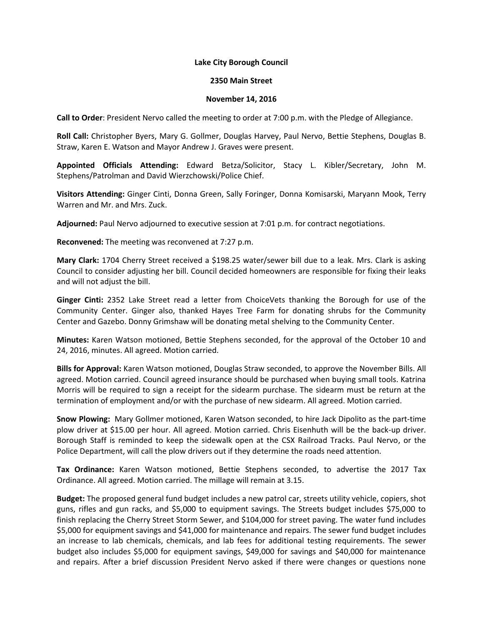## **Lake City Borough Council**

## **2350 Main Street**

## **November 14, 2016**

**Call to Order**: President Nervo called the meeting to order at 7:00 p.m. with the Pledge of Allegiance.

**Roll Call:** Christopher Byers, Mary G. Gollmer, Douglas Harvey, Paul Nervo, Bettie Stephens, Douglas B. Straw, Karen E. Watson and Mayor Andrew J. Graves were present.

**Appointed Officials Attending:** Edward Betza/Solicitor, Stacy L. Kibler/Secretary, John M. Stephens/Patrolman and David Wierzchowski/Police Chief.

**Visitors Attending:** Ginger Cinti, Donna Green, Sally Foringer, Donna Komisarski, Maryann Mook, Terry Warren and Mr. and Mrs. Zuck.

**Adjourned:** Paul Nervo adjourned to executive session at 7:01 p.m. for contract negotiations.

**Reconvened:** The meeting was reconvened at 7:27 p.m.

**Mary Clark:** 1704 Cherry Street received a \$198.25 water/sewer bill due to a leak. Mrs. Clark is asking Council to consider adjusting her bill. Council decided homeowners are responsible for fixing their leaks and will not adjust the bill.

**Ginger Cinti:** 2352 Lake Street read a letter from ChoiceVets thanking the Borough for use of the Community Center. Ginger also, thanked Hayes Tree Farm for donating shrubs for the Community Center and Gazebo. Donny Grimshaw will be donating metal shelving to the Community Center.

**Minutes:** Karen Watson motioned, Bettie Stephens seconded, for the approval of the October 10 and 24, 2016, minutes. All agreed. Motion carried.

**Bills for Approval:** Karen Watson motioned, Douglas Straw seconded, to approve the November Bills. All agreed. Motion carried. Council agreed insurance should be purchased when buying small tools. Katrina Morris will be required to sign a receipt for the sidearm purchase. The sidearm must be return at the termination of employment and/or with the purchase of new sidearm. All agreed. Motion carried.

**Snow Plowing:** Mary Gollmer motioned, Karen Watson seconded, to hire Jack Dipolito as the part-time plow driver at \$15.00 per hour. All agreed. Motion carried. Chris Eisenhuth will be the back-up driver. Borough Staff is reminded to keep the sidewalk open at the CSX Railroad Tracks. Paul Nervo, or the Police Department, will call the plow drivers out if they determine the roads need attention.

**Tax Ordinance:** Karen Watson motioned, Bettie Stephens seconded, to advertise the 2017 Tax Ordinance. All agreed. Motion carried. The millage will remain at 3.15.

**Budget:** The proposed general fund budget includes a new patrol car, streets utility vehicle, copiers, shot guns, rifles and gun racks, and \$5,000 to equipment savings. The Streets budget includes \$75,000 to finish replacing the Cherry Street Storm Sewer, and \$104,000 for street paving. The water fund includes \$5,000 for equipment savings and \$41,000 for maintenance and repairs. The sewer fund budget includes an increase to lab chemicals, chemicals, and lab fees for additional testing requirements. The sewer budget also includes \$5,000 for equipment savings, \$49,000 for savings and \$40,000 for maintenance and repairs. After a brief discussion President Nervo asked if there were changes or questions none